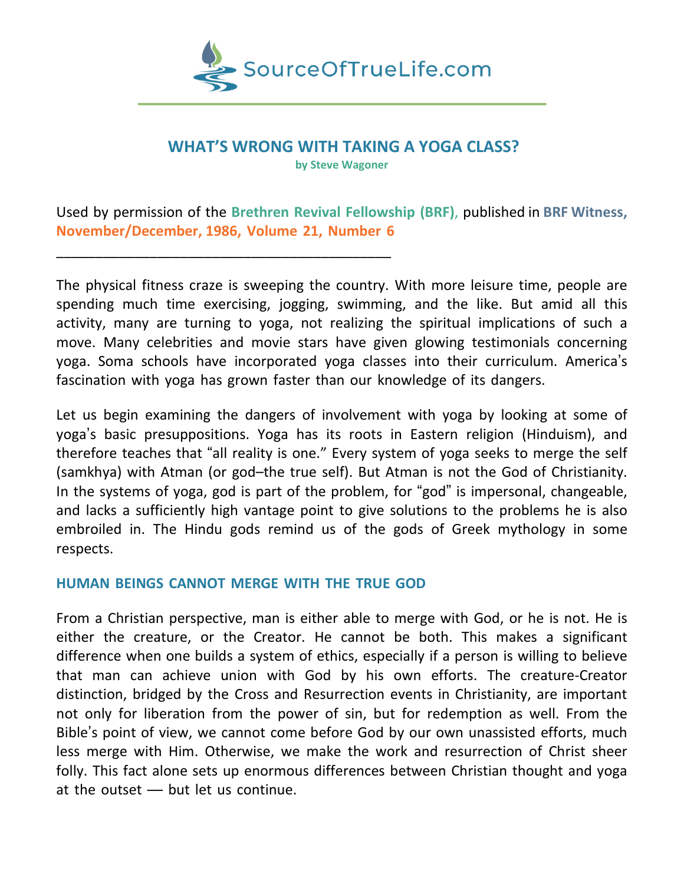

# **WHAT'S WRONG WITH TAKING A YOGA CLASS?**

**by Steve Wagoner**

Used by permission of the **Brethren Revival Fellowship (BRF)**, published in **BRF Witness, November/December, 1986, Volume 21, Number 6**

The physical fitness craze is sweeping the country. With more leisure time, people are spending much time exercising, jogging, swimming, and the like. But amid all this activity, many are turning to yoga, not realizing the spiritual implications of such a move. Many celebrities and movie stars have given glowing testimonials concerning yoga. Soma schools have incorporated yoga classes into their curriculum. America's fascination with yoga has grown faster than our knowledge of its dangers.

Let us begin examining the dangers of involvement with yoga by looking at some of yoga's basic presuppositions. Yoga has its roots in Eastern religion (Hinduism), and therefore teaches that "all reality is one." Every system of yoga seeks to merge the self (samkhya) with Atman (or god–the true self). But Atman is not the God of Christianity. In the systems of yoga, god is part of the problem, for "god" is impersonal, changeable, and lacks a sufficiently high vantage point to give solutions to the problems he is also embroiled in. The Hindu gods remind us of the gods of Greek mythology in some respects.

# **HUMAN BEINGS CANNOT MERGE WITH THE TRUE GOD**

\_\_\_\_\_\_\_\_\_\_\_\_\_\_\_\_\_\_\_\_\_\_\_\_\_\_\_\_\_\_\_\_\_\_\_\_\_\_\_\_\_\_\_

From a Christian perspective, man is either able to merge with God, or he is not. He is either the creature, or the Creator. He cannot be both. This makes a significant difference when one builds a system of ethics, especially if a person is willing to believe that man can achieve union with God by his own efforts. The creature-Creator distinction, bridged by the Cross and Resurrection events in Christianity, are important not only for liberation from the power of sin, but for redemption as well. From the Bible's point of view, we cannot come before God by our own unassisted efforts, much less merge with Him. Otherwise, we make the work and resurrection of Christ sheer folly. This fact alone sets up enormous differences between Christian thought and yoga at the outset — but let us continue.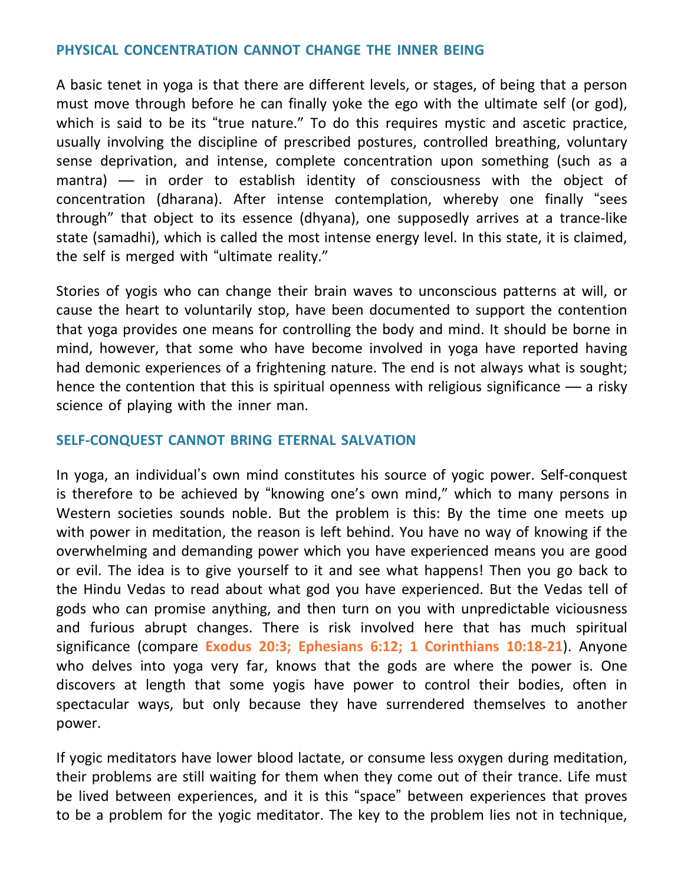## **PHYSICAL CONCENTRATION CANNOT CHANGE THE INNER BEING**

A basic tenet in yoga is that there are different levels, or stages, of being that a person must move through before he can finally yoke the ego with the ultimate self (or god), which is said to be its "true nature." To do this requires mystic and ascetic practice, usually involving the discipline of prescribed postures, controlled breathing, voluntary sense deprivation, and intense, complete concentration upon something (such as a mantra) — in order to establish identity of consciousness with the object of concentration (dharana). After intense contemplation, whereby one finally "sees through" that object to its essence (dhyana), one supposedly arrives at a trance-like state (samadhi), which is called the most intense energy level. In this state, it is claimed, the self is merged with "ultimate reality."

Stories of yogis who can change their brain waves to unconscious patterns at will, or cause the heart to voluntarily stop, have been documented to support the contention that yoga provides one means for controlling the body and mind. It should be borne in mind, however, that some who have become involved in yoga have reported having had demonic experiences of a frightening nature. The end is not always what is sought; hence the contention that this is spiritual openness with religious significance — a risky science of playing with the inner man.

### **SELF-CONQUEST CANNOT BRING ETERNAL SALVATION**

In yoga, an individual's own mind constitutes his source of yogic power. Self-conquest is therefore to be achieved by "knowing one's own mind," which to many persons in Western societies sounds noble. But the problem is this: By the time one meets up with power in meditation, the reason is left behind. You have no way of knowing if the overwhelming and demanding power which you have experienced means you are good or evil. The idea is to give yourself to it and see what happens! Then you go back to the Hindu Vedas to read about what god you have experienced. But the Vedas tell of gods who can promise anything, and then turn on you with unpredictable viciousness and furious abrupt changes. There is risk involved here that has much spiritual significance (compare **Exodus 20:3; Ephesians 6:12; 1 Corinthians 10:18-21**). Anyone who delves into yoga very far, knows that the gods are where the power is. One discovers at length that some yogis have power to control their bodies, often in spectacular ways, but only because they have surrendered themselves to another power.

If yogic meditators have lower blood lactate, or consume less oxygen during meditation, their problems are still waiting for them when they come out of their trance. Life must be lived between experiences, and it is this "space" between experiences that proves to be a problem for the yogic meditator. The key to the problem lies not in technique,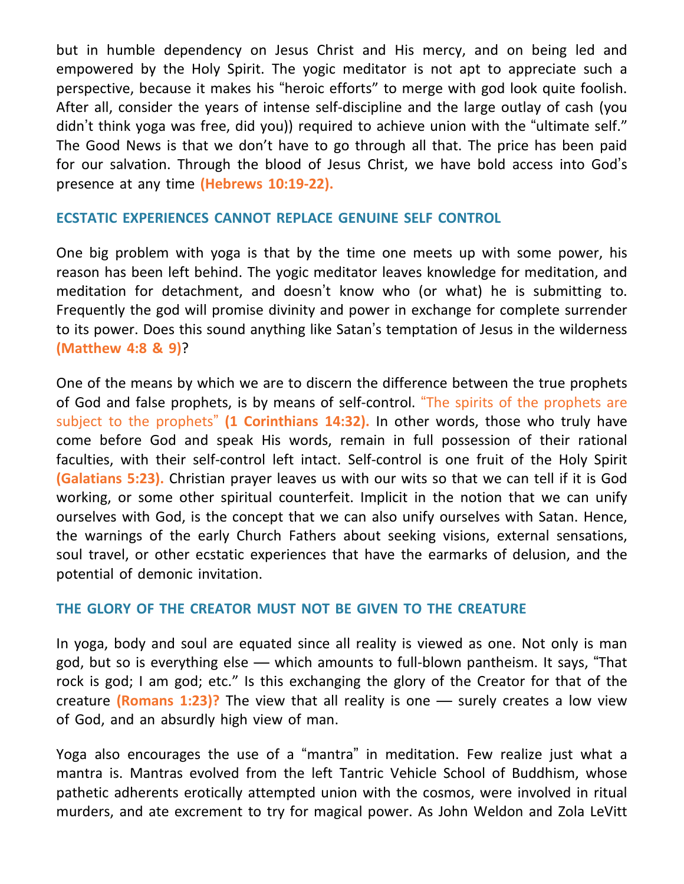but in humble dependency on Jesus Christ and His mercy, and on being led and empowered by the Holy Spirit. The yogic meditator is not apt to appreciate such a perspective, because it makes his "heroic efforts" to merge with god look quite foolish. After all, consider the years of intense self-discipline and the large outlay of cash (you didn't think yoga was free, did you)) required to achieve union with the "ultimate self." The Good News is that we don't have to go through all that. The price has been paid for our salvation. Through the blood of Jesus Christ, we have bold access into God's presence at any time **(Hebrews 10:19-22).**

#### **ECSTATIC EXPERIENCES CANNOT REPLACE GENUINE SELF CONTROL**

One big problem with yoga is that by the time one meets up with some power, his reason has been left behind. The yogic meditator leaves knowledge for meditation, and meditation for detachment, and doesn't know who (or what) he is submitting to. Frequently the god will promise divinity and power in exchange for complete surrender to its power. Does this sound anything like Satan's temptation of Jesus in the wilderness **(Matthew 4:8 & 9)**?

One of the means by which we are to discern the difference between the true prophets of God and false prophets, is by means of self-control. "The spirits of the prophets are subject to the prophets" **(1 Corinthians 14:32).** In other words, those who truly have come before God and speak His words, remain in full possession of their rational faculties, with their self-control left intact. Self-control is one fruit of the Holy Spirit **(Galatians 5:23).** Christian prayer leaves us with our wits so that we can tell if it is God working, or some other spiritual counterfeit. Implicit in the notion that we can unify ourselves with God, is the concept that we can also unify ourselves with Satan. Hence, the warnings of the early Church Fathers about seeking visions, external sensations, soul travel, or other ecstatic experiences that have the earmarks of delusion, and the potential of demonic invitation.

### **THE GLORY OF THE CREATOR MUST NOT BE GIVEN TO THE CREATURE**

In yoga, body and soul are equated since all reality is viewed as one. Not only is man god, but so is everything else — which amounts to full-blown pantheism. It says, "That rock is god; I am god; etc." Is this exchanging the glory of the Creator for that of the creature **(Romans 1:23)?** The view that all reality is one — surely creates a low view of God, and an absurdly high view of man.

Yoga also encourages the use of a "mantra" in meditation. Few realize just what a mantra is. Mantras evolved from the left Tantric Vehicle School of Buddhism, whose pathetic adherents erotically attempted union with the cosmos, were involved in ritual murders, and ate excrement to try for magical power. As John Weldon and Zola LeVitt